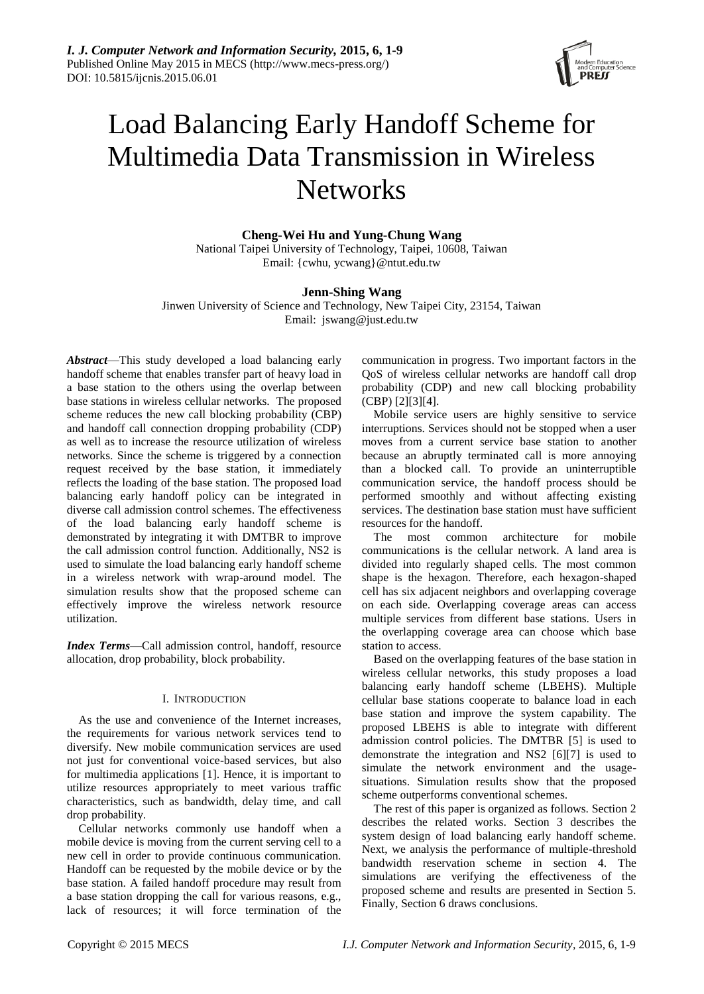

# Load Balancing Early Handoff Scheme for Multimedia Data Transmission in Wireless **Networks**

**Cheng-Wei Hu and Yung-Chung Wang**

National Taipei University of Technology, Taipei, 10608, Taiwan Email: {cwhu, ycwang}@ntut.edu.tw

## **Jenn-Shing Wang**

Jinwen University of Science and Technology, New Taipei City, 23154, Taiwan Email: jswang@just.edu.tw

*Abstract*—This study developed a load balancing early handoff scheme that enables transfer part of heavy load in a base station to the others using the overlap between base stations in wireless cellular networks. The proposed scheme reduces the new call blocking probability (CBP) and handoff call connection dropping probability (CDP) as well as to increase the resource utilization of wireless networks. Since the scheme is triggered by a connection request received by the base station, it immediately reflects the loading of the base station. The proposed load balancing early handoff policy can be integrated in diverse call admission control schemes. The effectiveness of the load balancing early handoff scheme is demonstrated by integrating it with DMTBR to improve the call admission control function. Additionally, NS2 is used to simulate the load balancing early handoff scheme in a wireless network with wrap-around model. The simulation results show that the proposed scheme can effectively improve the wireless network resource utilization.

*Index Terms*—Call admission control, handoff, resource allocation, drop probability, block probability.

## I. INTRODUCTION

As the use and convenience of the Internet increases, the requirements for various network services tend to diversify. New mobile communication services are used not just for conventional voice-based services, but also for multimedia applications [1]. Hence, it is important to utilize resources appropriately to meet various traffic characteristics, such as bandwidth, delay time, and call drop probability.

Cellular networks commonly use handoff when a mobile device is moving from the current serving cell to a new cell in order to provide continuous communication. Handoff can be requested by the mobile device or by the base station. A failed handoff procedure may result from a base station dropping the call for various reasons, e.g., lack of resources; it will force termination of the

communication in progress. Two important factors in the QoS of wireless cellular networks are handoff call drop probability (CDP) and new call blocking probability (CBP) [2][3][4].

Mobile service users are highly sensitive to service interruptions. Services should not be stopped when a user moves from a current service base station to another because an abruptly terminated call is more annoying than a blocked call. To provide an uninterruptible communication service, the handoff process should be performed smoothly and without affecting existing services. The destination base station must have sufficient resources for the handoff.

The most common architecture for mobile communications is the cellular network. A land area is divided into regularly shaped cells. The most common shape is the hexagon. Therefore, each hexagon-shaped cell has six adjacent neighbors and overlapping coverage on each side. Overlapping coverage areas can access multiple services from different base stations. Users in the overlapping coverage area can choose which base station to access.

Based on the overlapping features of the base station in wireless cellular networks, this study proposes a load balancing early handoff scheme (LBEHS). Multiple cellular base stations cooperate to balance load in each base station and improve the system capability. The proposed LBEHS is able to integrate with different admission control policies. The DMTBR [5] is used to demonstrate the integration and NS2 [6][7] is used to simulate the network environment and the usagesituations. Simulation results show that the proposed scheme outperforms conventional schemes.

The rest of this paper is organized as follows. Section 2 describes the related works. Section 3 describes the system design of load balancing early handoff scheme. Next, we analysis the performance of multiple-threshold bandwidth reservation scheme in section 4. The simulations are verifying the effectiveness of the proposed scheme and results are presented in Section 5. Finally, Section 6 draws conclusions.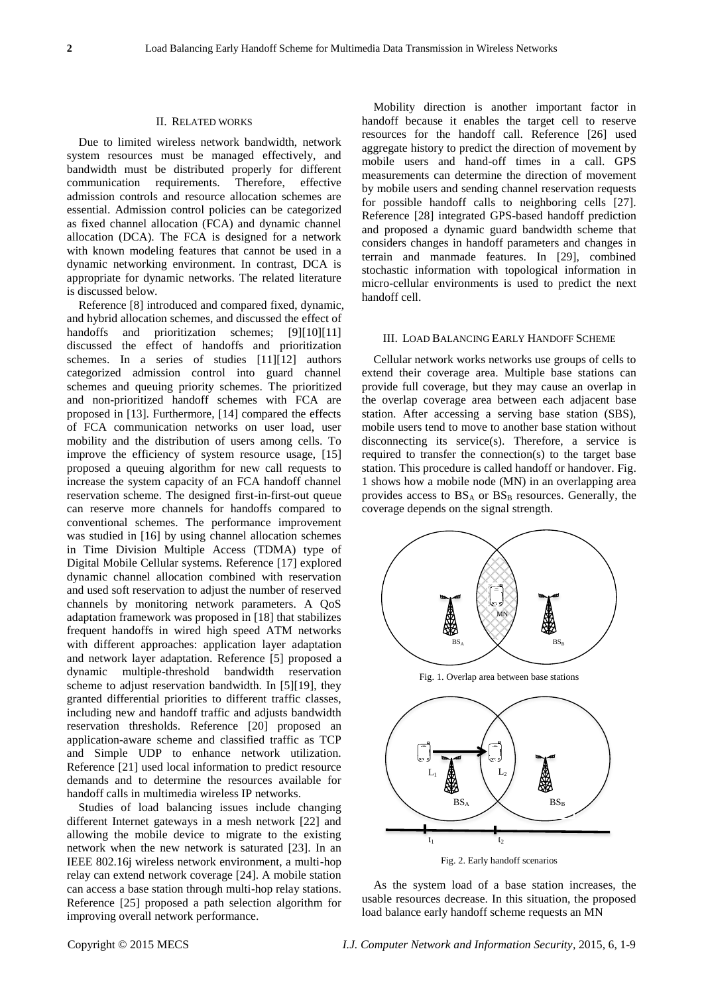#### II. RELATED WORKS

Due to limited wireless network bandwidth, network system resources must be managed effectively, and bandwidth must be distributed properly for different communication requirements. Therefore, effective admission controls and resource allocation schemes are essential. Admission control policies can be categorized as fixed channel allocation (FCA) and dynamic channel allocation (DCA). The FCA is designed for a network with known modeling features that cannot be used in a dynamic networking environment. In contrast, DCA is appropriate for dynamic networks. The related literature is discussed below.

Reference [8] introduced and compared fixed, dynamic, and hybrid allocation schemes, and discussed the effect of handoffs and prioritization schemes; [9][10][11] discussed the effect of handoffs and prioritization schemes. In a series of studies [11][12] authors categorized admission control into guard channel schemes and queuing priority schemes. The prioritized and non-prioritized handoff schemes with FCA are proposed in [13]. Furthermore, [14] compared the effects of FCA communication networks on user load, user mobility and the distribution of users among cells. To improve the efficiency of system resource usage, [15] proposed a queuing algorithm for new call requests to increase the system capacity of an FCA handoff channel reservation scheme. The designed first-in-first-out queue can reserve more channels for handoffs compared to conventional schemes. The performance improvement was studied in [16] by using channel allocation schemes in Time Division Multiple Access (TDMA) type of Digital Mobile Cellular systems. Reference [17] explored dynamic channel allocation combined with reservation and used soft reservation to adjust the number of reserved channels by monitoring network parameters. A QoS adaptation framework was proposed in [18] that stabilizes frequent handoffs in wired high speed ATM networks with different approaches: application layer adaptation and network layer adaptation. Reference [5] proposed a dynamic multiple-threshold bandwidth reservation scheme to adjust reservation bandwidth. In [5][19], they granted differential priorities to different traffic classes, including new and handoff traffic and adjusts bandwidth reservation thresholds. Reference [20] proposed an application-aware scheme and classified traffic as TCP and Simple UDP to enhance network utilization. Reference [21] used local information to predict resource demands and to determine the resources available for handoff calls in multimedia wireless IP networks.

Studies of load balancing issues include changing different Internet gateways in a mesh network [22] and allowing the mobile device to migrate to the existing network when the new network is saturated [23]. In an IEEE 802.16j wireless network environment, a multi-hop relay can extend network coverage [24]. A mobile station can access a base station through multi-hop relay stations. Reference [25] proposed a path selection algorithm for improving overall network performance.

Mobility direction is another important factor in handoff because it enables the target cell to reserve resources for the handoff call. Reference [26] used aggregate history to predict the direction of movement by mobile users and hand-off times in a call. GPS measurements can determine the direction of movement by mobile users and sending channel reservation requests for possible handoff calls to neighboring cells [27]. Reference [28] integrated GPS-based handoff prediction and proposed a dynamic guard bandwidth scheme that considers changes in handoff parameters and changes in terrain and manmade features. In [29], combined stochastic information with topological information in micro-cellular environments is used to predict the next handoff cell.

## III. LOAD BALANCING EARLY HANDOFF SCHEME

Cellular network works networks use groups of cells to extend their coverage area. Multiple base stations can provide full coverage, but they may cause an overlap in the overlap coverage area between each adjacent base station. After accessing a serving base station (SBS), mobile users tend to move to another base station without disconnecting its service(s). Therefore, a service is required to transfer the connection(s) to the target base station. This procedure is called handoff or handover. Fig. 1 shows how a mobile node (MN) in an overlapping area provides access to  $BS_A$  or  $BS_B$  resources. Generally, the coverage depends on the signal strength.



Fig. 1. Overlap area between base stations



Fig. 2. Early handoff scenarios

As the system load of a base station increases, the usable resources decrease. In this situation, the proposed load balance early handoff scheme requests an MN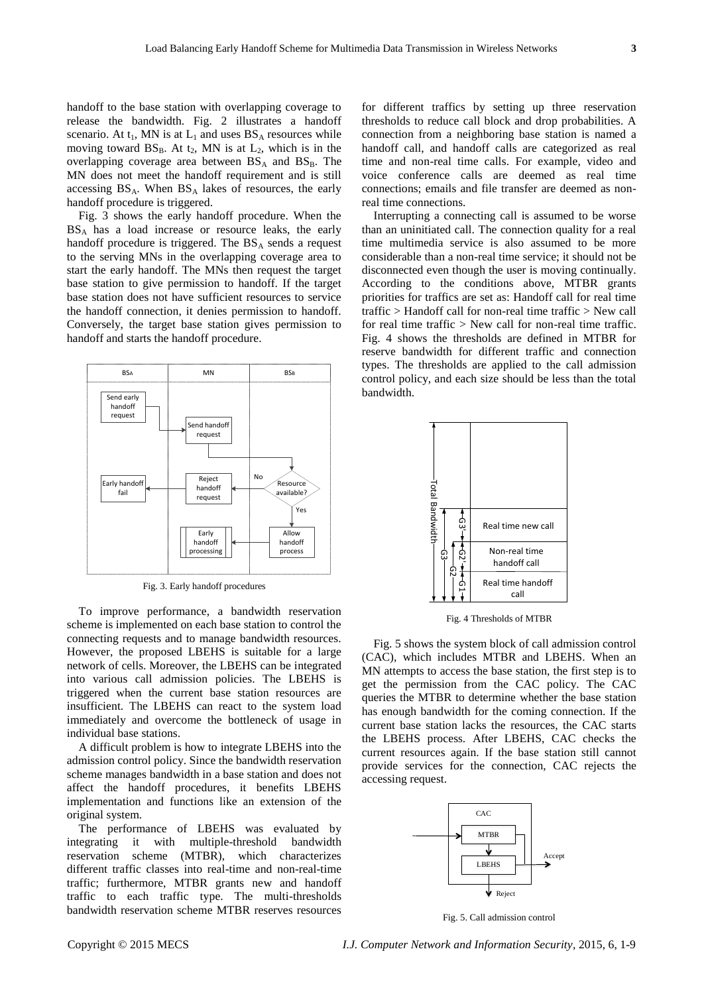handoff to the base station with overlapping coverage to release the bandwidth. Fig. 2 illustrates a handoff scenario. At  $t_1$ , MN is at  $L_1$  and uses  $BS_A$  resources while moving toward  $BS_B$ . At t<sub>2</sub>, MN is at  $L_2$ , which is in the overlapping coverage area between  $BS_A$  and  $BS_B$ . The MN does not meet the handoff requirement and is still accessing  $BS_A$ . When  $BS_A$  lakes of resources, the early handoff procedure is triggered.

Fig. 3 shows the early handoff procedure. When the BS<sup>A</sup> has a load increase or resource leaks, the early handoff procedure is triggered. The  $BS_A$  sends a request to the serving MNs in the overlapping coverage area to start the early handoff. The MNs then request the target base station to give permission to handoff. If the target base station does not have sufficient resources to service the handoff connection, it denies permission to handoff. Conversely, the target base station gives permission to handoff and starts the handoff procedure.



Fig. 3. Early handoff procedures

To improve performance, a bandwidth reservation scheme is implemented on each base station to control the connecting requests and to manage bandwidth resources. However, the proposed LBEHS is suitable for a large network of cells. Moreover, the LBEHS can be integrated into various call admission policies. The LBEHS is triggered when the current base station resources are insufficient. The LBEHS can react to the system load immediately and overcome the bottleneck of usage in individual base stations.

A difficult problem is how to integrate LBEHS into the admission control policy. Since the bandwidth reservation scheme manages bandwidth in a base station and does not affect the handoff procedures, it benefits LBEHS implementation and functions like an extension of the original system.

The performance of LBEHS was evaluated by integrating it with multiple-threshold bandwidth reservation scheme (MTBR), which characterizes different traffic classes into real-time and non-real-time traffic; furthermore, MTBR grants new and handoff traffic to each traffic type. The multi-thresholds bandwidth reservation scheme MTBR reserves resources

for different traffics by setting up three reservation thresholds to reduce call block and drop probabilities. A connection from a neighboring base station is named a handoff call, and handoff calls are categorized as real time and non-real time calls. For example, video and voice conference calls are deemed as real time connections; emails and file transfer are deemed as nonreal time connections.

Interrupting a connecting call is assumed to be worse than an uninitiated call. The connection quality for a real time multimedia service is also assumed to be more considerable than a non-real time service; it should not be disconnected even though the user is moving continually. According to the conditions above, MTBR grants priorities for traffics are set as: Handoff call for real time traffic > Handoff call for non-real time traffic > New call for real time traffic > New call for non-real time traffic. Fig. 4 shows the thresholds are defined in MTBR for reserve bandwidth for different traffic and connection types. The thresholds are applied to the call admission control policy, and each size should be less than the total bandwidth.



Fig. 4 Thresholds of MTBR

Fig. 5 shows the system block of call admission control (CAC), which includes MTBR and LBEHS. When an MN attempts to access the base station, the first step is to get the permission from the CAC policy. The CAC queries the MTBR to determine whether the base station has enough bandwidth for the coming connection. If the current base station lacks the resources, the CAC starts the LBEHS process. After LBEHS, CAC checks the current resources again. If the base station still cannot provide services for the connection, CAC rejects the accessing request.

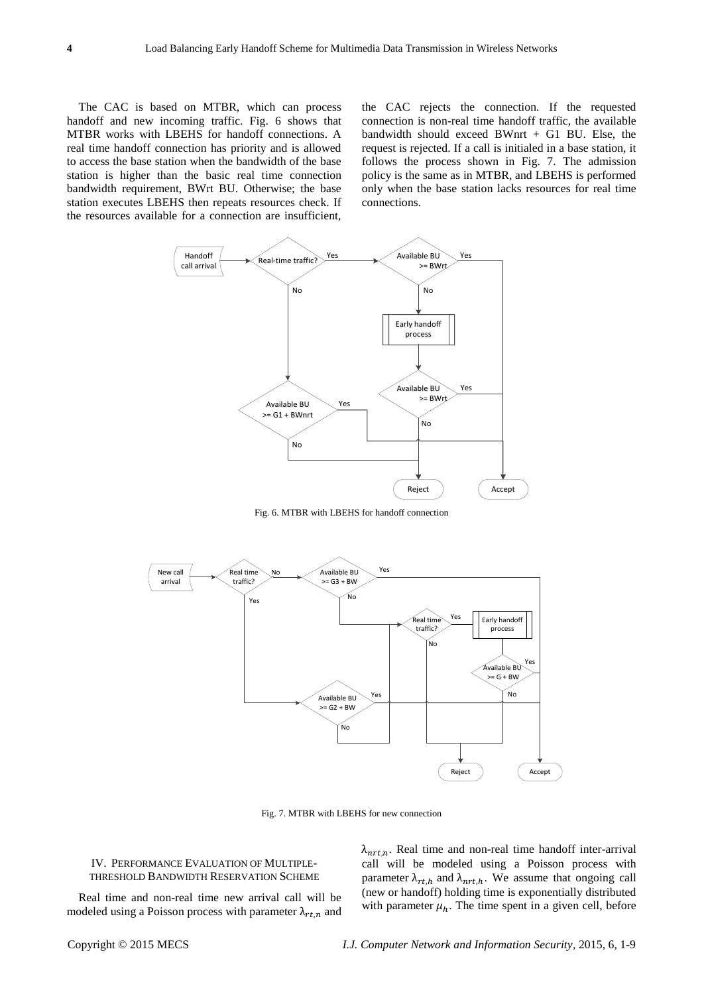The CAC is based on MTBR, which can process handoff and new incoming traffic. Fig. 6 shows that MTBR works with LBEHS for handoff connections. A real time handoff connection has priority and is allowed to access the base station when the bandwidth of the base station is higher than the basic real time connection bandwidth requirement, BWrt BU. Otherwise; the base station executes LBEHS then repeats resources check. If the resources available for a connection are insufficient,

the CAC rejects the connection. If the requested connection is non-real time handoff traffic, the available bandwidth should exceed BWnrt + G1 BU. Else, the request is rejected. If a call is initialed in a base station, it follows the process shown in Fig. 7. The admission policy is the same as in MTBR, and LBEHS is performed only when the base station lacks resources for real time connections.



Fig. 6. MTBR with LBEHS for handoff connection



Fig. 7. MTBR with LBEHS for new connection

## IV. PERFORMANCE EVALUATION OF MULTIPLE-THRESHOLD BANDWIDTH RESERVATION SCHEME

Real time and non-real time new arrival call will be modeled using a Poisson process with parameter  $\lambda_{rtn}$  and  $\lambda_{nrt,n}$ . Real time and non-real time handoff inter-arrival call will be modeled using a Poisson process with parameter  $\lambda_{rt,h}$  and  $\lambda_{nrt,h}$ . We assume that ongoing call (new or handoff) holding time is exponentially distributed with parameter  $\mu_h$ . The time spent in a given cell, before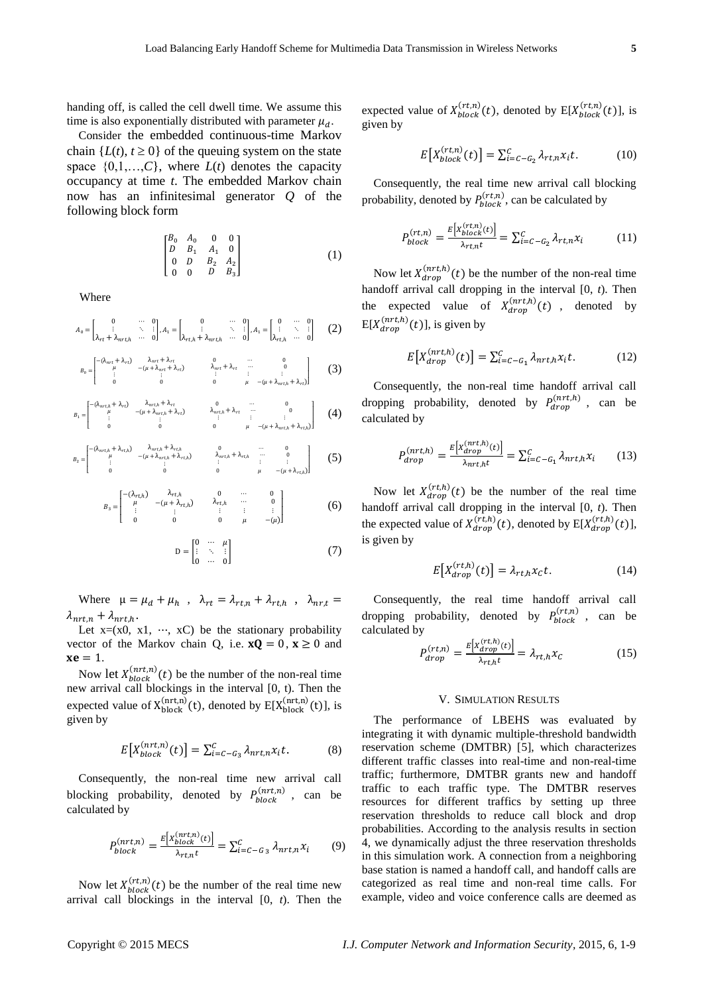handing off, is called the cell dwell time. We assume this time is also exponentially distributed with parameter  $\mu_d$ .

Consider the embedded continuous-time Markov chain  ${L(t), t \ge 0}$  of the queuing system on the state space  $\{0,1,\ldots,C\}$ , where  $L(t)$  denotes the capacity occupancy at time *t*. The embedded Markov chain now has an infinitesimal generator *Q* of the following block form

$$
\begin{bmatrix} B_0 & A_0 & 0 & 0 \ D & B_1 & A_1 & 0 \ 0 & D & B_2 & A_2 \ 0 & 0 & D & B_3 \end{bmatrix}
$$
 (1)

Where

$$
A_0 = \begin{bmatrix} 0 & \cdots & 0 \\ \vdots & \ddots & \vdots \\ \lambda_{rt} + \lambda_{nrt,h} & \cdots & 0 \end{bmatrix}, A_1 = \begin{bmatrix} 0 & \cdots & 0 \\ \vdots & \ddots & \vdots \\ \lambda_{rt,h} + \lambda_{nrt,h} & \cdots & 0 \end{bmatrix}, A_1 = \begin{bmatrix} 0 & \cdots & 0 \\ \vdots & \ddots & \vdots \\ \lambda_{rt,h} & \cdots & 0 \end{bmatrix}
$$
 (2)

$$
B_0 = \begin{bmatrix} -\lambda_{mrt} + \lambda_{rt} & \lambda_{mrt} + \lambda_{rt} & 0 & \cdots & 0 \\ \mu & -(\mu + \lambda_{mrt} + \lambda_{rt}) & \lambda_{mrt} + \lambda_{rt} & \cdots & 0 \\ \vdots & \vdots & \ddots & \vdots & \vdots \\ 0 & 0 & 0 & \mu & -(\mu + \lambda_{mrt,h} + \lambda_{rt}) \end{bmatrix} \tag{3}
$$

$$
B_1 = \begin{bmatrix} -(\lambda_{m\tau,h} + \lambda_{\tau\tau}) & \lambda_{m\tau,h} + \lambda_{\tau\tau} & 0 & \cdots & 0 \\ \mu & -(\mu + \lambda_{m\tau,h} + \lambda_{\tau\tau}) & \lambda_{m\tau,h} + \lambda_{\tau\tau} & \cdots & 0 \\ \vdots & \vdots & \vdots & \vdots & \vdots \\ 0 & 0 & 0 & \mu & -(\mu + \lambda_{m\tau,h} + \lambda_{\tau\tau,h}) \end{bmatrix} (4)
$$

$$
B_2 = \begin{bmatrix} -(\lambda_{mrt,h} + \lambda_{rt,h}) & \lambda_{mrt,h} + \lambda_{rt,h} & 0 & \cdots & 0 \\ \mu & -(\mu + \lambda_{mrt,h} + \lambda_{rt,h}) & \lambda_{mrt,h} + \lambda_{rt,h} & \cdots & 0 \\ \vdots & \vdots & \vdots & \vdots & \vdots \\ 0 & 0 & 0 & \mu & -(\mu + \lambda_{rt,h}) \end{bmatrix}
$$
 (5)

$$
B_3 = \begin{bmatrix} -(\lambda_{rt,h}) & \lambda_{rt,h} & 0 & \cdots & 0 \\ \mu & -(\mu + \lambda_{rt,h}) & \lambda_{rt,h} & \cdots & 0 \\ \vdots & \vdots & \vdots & \vdots & \vdots \\ 0 & 0 & 0 & \mu & -(\mu) \end{bmatrix}
$$
 (6)

$$
\mathbf{D} = \begin{bmatrix} 0 & \cdots & \mu \\ \vdots & \ddots & \vdots \\ 0 & \cdots & 0 \end{bmatrix} \tag{7}
$$

Where  $\mu = \mu_d + \mu_h$ ,  $\lambda_{rt} = \lambda_{rt,n} + \lambda_{rt,h}$ ,  $\lambda_{nr,t} =$  $\lambda_{nrt,n} + \lambda_{nrt,h}$ .

Let  $x=(x0, x1, \dots, xC)$  be the stationary probability vector of the Markov chain Q, i.e.  $xQ = 0$ ,  $x \ge 0$  and  $xe = 1$ .

Now let  $X_{block}^{(nrt,n)}(t)$  be the number of the non-real time new arrival call blockings in the interval [0, t). Then the expected value of  $X_{block}^{(nrt,n)}(t)$ , denoted by  $E[X_{block}^{(nrt,n)}(t)]$ , is given by

$$
E[X_{block}^{(nrt,n)}(t)] = \sum_{i=c-G_3}^{c} \lambda_{nrt,n} x_i t.
$$
 (8)

Consequently, the non-real time new arrival call blocking probability, denoted by  $P_{block}^{(nrt,n)}$ , can be calculated by

$$
P_{block}^{(nrt,n)} = \frac{E[X_{block}^{(nrt,n)}(t)]}{\lambda_{rt,n}t} = \sum_{i=-C-G_3}^{C} \lambda_{nrt,n} x_i \tag{9}
$$

Now let  $X_{block}^{(rt,n)}(t)$  be the number of the real time new arrival call blockings in the interval [0, *t*). Then the

expected value of  $X_{block}^{(rt,n)}(t)$ , denoted by  $E[X_{block}^{(rt,n)}(t)]$ , is given by

$$
E[X_{block}(rt,n)(t)] = \sum_{i=c-c_2}^{C} \lambda_{rt,n} x_i t. \tag{10}
$$

Consequently, the real time new arrival call blocking probability, denoted by  $P_{block}^{(rt,n)}$ , can be calculated by

$$
P_{block}^{(rt,n)} = \frac{E[X_{block}^{(rt,n)}(t)]}{\lambda_{rt,n}t} = \sum_{i=c-G_2}^{C} \lambda_{rt,n} x_i \tag{11}
$$

Now let  $X_{dron}^{(nrt,h)}(t)$  be the number of the non-real time handoff arrival call dropping in the interval [0, *t*). Then the expected value of  $X_{dran}^{(nrt,h)}(t)$ , denoted by  $E[X_{dron}^{(nrt,h)}(t)]$ , is given by

$$
E[X_{drop}^{(nrt,h)}(t)] = \sum_{i=c-c_1}^{C} \lambda_{nrt,h} x_i t.
$$
 (12)

Consequently, the non-real time handoff arrival call dropping probability, denoted by  $P_{dron}^{(nrt,h)}$ , can be calculated by

$$
P_{drop}^{(nrt,h)} = \frac{E[X_{drop}^{(nrt,h)}(t)]}{\lambda_{nrt,h}t} = \sum_{i=c-G_1}^{C} \lambda_{nrt,h} \chi_i \qquad (13)
$$

Now let  $X_{dran}^{(rt,h)}(t)$  be the number of the real time handoff arrival call dropping in the interval [0, *t*). Then the expected value of  $X_{dran}^{(rt,h)}(t)$ , denoted by  $E[X_{dran}^{(rt,h)}(t)]$ , is given by

$$
E[X_{drop}^{(rt,h)}(t)] = \lambda_{rt,h} x_c t.
$$
 (14)

Consequently, the real time handoff arrival call dropping probability, denoted by  $P_{block}^{(rt,n)}$ , can be calculated by  $\mathbf{r}$  .  $\mathbf{r}$ 

$$
P_{drop}^{(rt,n)} = \frac{E\left[X_{drop}^{(rt,n)}(t)\right]}{\lambda_{rt,n}t} = \lambda_{rt,n}x_c \tag{15}
$$

## V. SIMULATION RESULTS

The performance of LBEHS was evaluated by integrating it with dynamic multiple-threshold bandwidth reservation scheme (DMTBR) [5], which characterizes different traffic classes into real-time and non-real-time traffic; furthermore, DMTBR grants new and handoff traffic to each traffic type. The DMTBR reserves resources for different traffics by setting up three reservation thresholds to reduce call block and drop probabilities. According to the analysis results in section 4, we dynamically adjust the three reservation thresholds in this simulation work. A connection from a neighboring base station is named a handoff call, and handoff calls are categorized as real time and non-real time calls. For example, video and voice conference calls are deemed as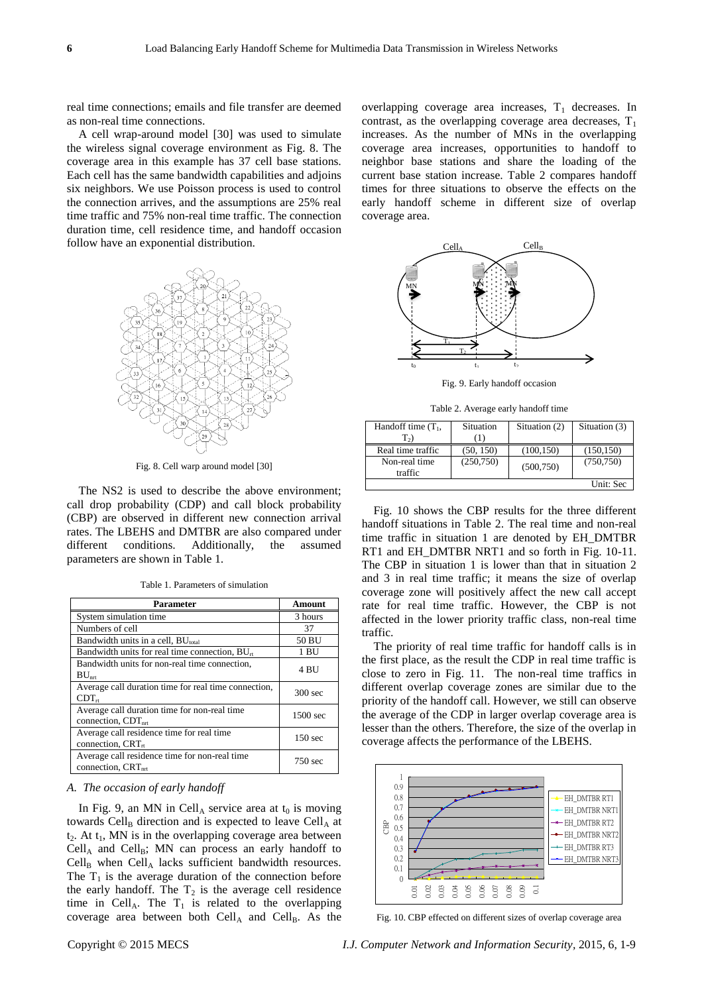real time connections; emails and file transfer are deemed as non-real time connections.

A cell wrap-around model [30] was used to simulate the wireless signal coverage environment as Fig. 8. The coverage area in this example has 37 cell base stations. Each cell has the same bandwidth capabilities and adjoins six neighbors. We use Poisson process is used to control the connection arrives, and the assumptions are 25% real time traffic and 75% non-real time traffic. The connection duration time, cell residence time, and handoff occasion follow have an exponential distribution.



Fig. 8. Cell warp around model [30]

The NS2 is used to describe the above environment; call drop probability (CDP) and call block probability (CBP) are observed in different new connection arrival rates. The LBEHS and DMTBR are also compared under different conditions. Additionally, the assumed parameters are shown in Table 1.

Table 1. Parameters of simulation

| Parameter                                                                       | Amount             |
|---------------------------------------------------------------------------------|--------------------|
| System simulation time                                                          | 3 hours            |
| Numbers of cell                                                                 | 37                 |
| Bandwidth units in a cell, $BU_{total}$                                         | 50 BU              |
| Bandwidth units for real time connection, $BU_{tt}$                             | 1 BU               |
| Bandwidth units for non-real time connection,<br>$BU_{\mathrm{nrr}}$            | 4 BU               |
| Average call duration time for real time connection,<br>$CDT_{rt}$              | $300$ sec          |
| Average call duration time for non-real time<br>connection, $CDTnt$             | $1500$ sec         |
| Average call residence time for real time<br>connection, $CRT_{rt}$             | 150 <sub>sec</sub> |
| Average call residence time for non-real time<br>connection, CRT <sub>nrt</sub> | 750 sec            |

*A. The occasion of early handoff*

In Fig. 9, an MN in Cell<sub>A</sub> service area at  $t_0$  is moving towards Cell<sub>B</sub> direction and is expected to leave Cell<sub>A</sub> at  $t_2$ . At  $t_1$ , MN is in the overlapping coverage area between  $Cell_A$  and  $Cell_B$ ; MN can process an early handoff to  $Cell_B$  when  $Cell_A$  lacks sufficient bandwidth resources. The  $T_1$  is the average duration of the connection before the early handoff. The  $T_2$  is the average cell residence time in Cell<sub>A</sub>. The  $T_1$  is related to the overlapping coverage area between both  $Cell_A$  and  $Cell_B$ . As the

overlapping coverage area increases,  $T_1$  decreases. In contrast, as the overlapping coverage area decreases,  $T_1$ increases. As the number of MNs in the overlapping coverage area increases, opportunities to handoff to neighbor base stations and share the loading of the current base station increase. Table 2 compares handoff times for three situations to observe the effects on the early handoff scheme in different size of overlap coverage area.



Fig. 9. Early handoff occasion

Table 2. Average early handoff time

| Handoff time $(T_1,$         | Situation | Situation (2) | Situation (3) |
|------------------------------|-----------|---------------|---------------|
| $T_{2}$<br>Real time traffic | (50, 150) | (100, 150)    | (150, 150)    |
| Non-real time<br>traffic     | (250,750) | (500, 750)    | (750, 750)    |
|                              |           |               | Unit: Sec     |

Fig. 10 shows the CBP results for the three different handoff situations in Table 2. The real time and non-real time traffic in situation 1 are denoted by EH\_DMTBR RT1 and EH\_DMTBR NRT1 and so forth in Fig. 10-11. The CBP in situation 1 is lower than that in situation 2 and 3 in real time traffic; it means the size of overlap coverage zone will positively affect the new call accept rate for real time traffic. However, the CBP is not affected in the lower priority traffic class, non-real time traffic.

The priority of real time traffic for handoff calls is in the first place, as the result the CDP in real time traffic is close to zero in Fig. 11. The non-real time traffics in different overlap coverage zones are similar due to the priority of the handoff call. However, we still can observe the average of the CDP in larger overlap coverage area is lesser than the others. Therefore, the size of the overlap in coverage affects the performance of the LBEHS.



Fig. 10. CBP effected on different sizes of overlap coverage area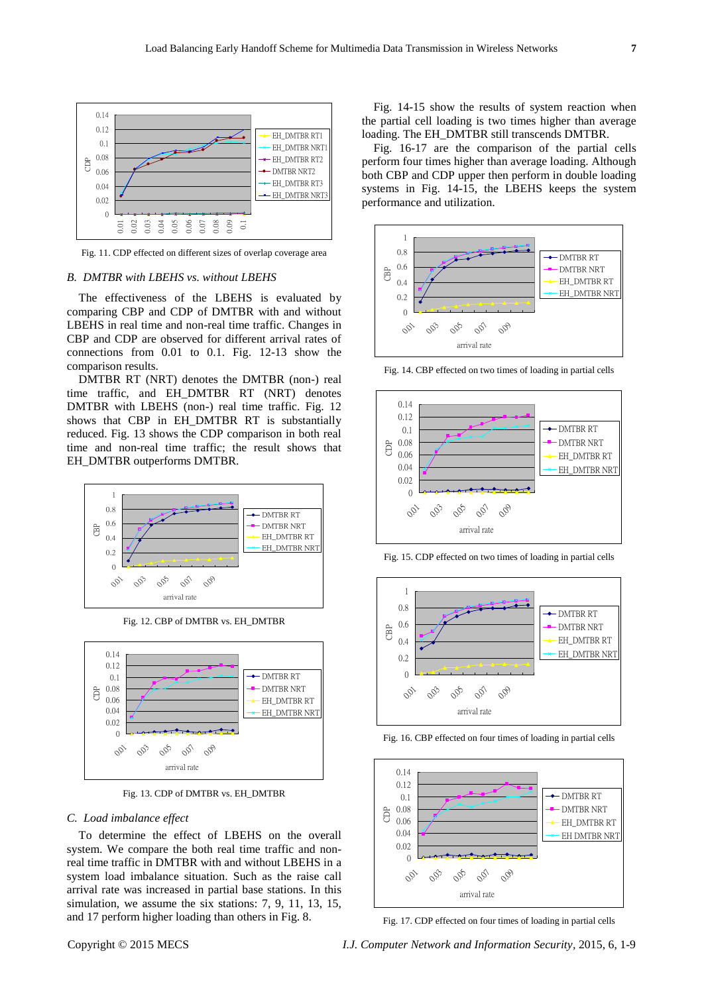

Fig. 11. CDP effected on different sizes of overlap coverage area

#### *B. DMTBR with LBEHS vs. without LBEHS*

The effectiveness of the LBEHS is evaluated by comparing CBP and CDP of DMTBR with and without LBEHS in real time and non-real time traffic. Changes in CBP and CDP are observed for different arrival rates of connections from 0.01 to 0.1. Fig. 12-13 show the comparison results.

DMTBR RT (NRT) denotes the DMTBR (non-) real time traffic, and EH\_DMTBR RT (NRT) denotes DMTBR with LBEHS (non-) real time traffic. Fig. 12 shows that CBP in EH\_DMTBR RT is substantially reduced. Fig. 13 shows the CDP comparison in both real time and non-real time traffic; the result shows that EH\_DMTBR outperforms DMTBR.



Fig. 12. CBP of DMTBR vs. EH\_DMTBR



Fig. 13. CDP of DMTBR vs. EH\_DMTBR

## *C. Load imbalance effect*

To determine the effect of LBEHS on the overall system. We compare the both real time traffic and nonreal time traffic in DMTBR with and without LBEHS in a system load imbalance situation. Such as the raise call arrival rate was increased in partial base stations. In this simulation, we assume the six stations: 7, 9, 11, 13, 15, and 17 perform higher loading than others in Fig. 8.

Fig. 14-15 show the results of system reaction when the partial cell loading is two times higher than average loading. The EH\_DMTBR still transcends DMTBR.

Fig. 16-17 are the comparison of the partial cells perform four times higher than average loading. Although both CBP and CDP upper then perform in double loading systems in Fig. 14-15, the LBEHS keeps the system performance and utilization.



Fig. 14. CBP effected on two times of loading in partial cells



Fig. 15. CDP effected on two times of loading in partial cells



Fig. 16. CBP effected on four times of loading in partial cells



Fig. 17. CDP effected on four times of loading in partial cells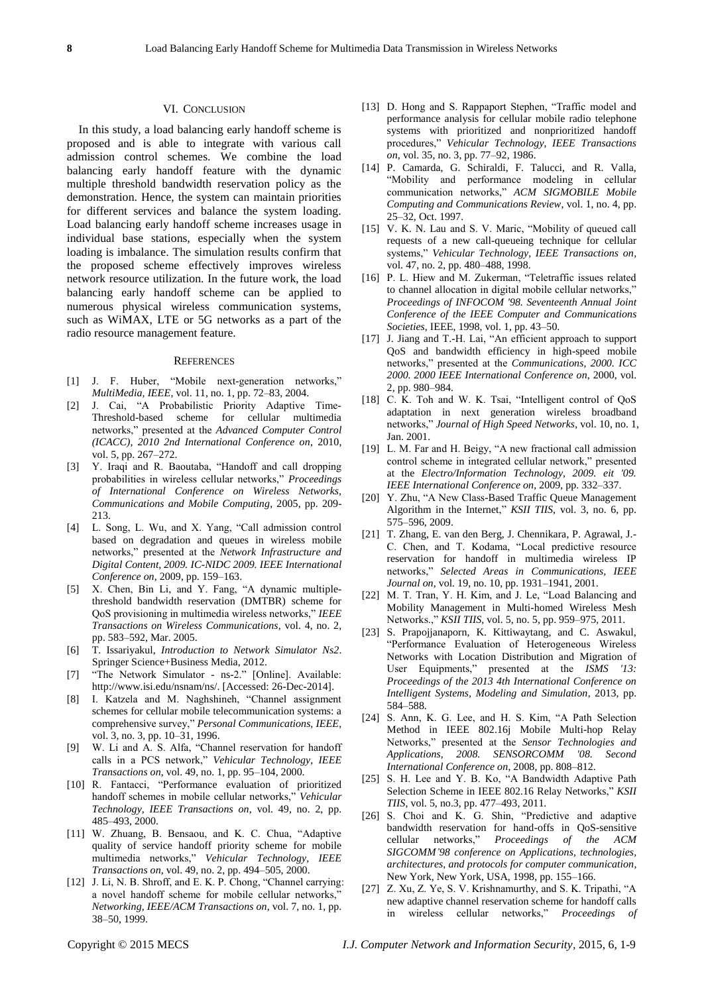#### VI. CONCLUSION

In this study, a load balancing early handoff scheme is proposed and is able to integrate with various call admission control schemes. We combine the load balancing early handoff feature with the dynamic multiple threshold bandwidth reservation policy as the demonstration. Hence, the system can maintain priorities for different services and balance the system loading. Load balancing early handoff scheme increases usage in individual base stations, especially when the system loading is imbalance. The simulation results confirm that the proposed scheme effectively improves wireless network resource utilization. In the future work, the load balancing early handoff scheme can be applied to numerous physical wireless communication systems, such as WiMAX, LTE or 5G networks as a part of the radio resource management feature.

## **REFERENCES**

- [1] J. F. Huber, "Mobile next-generation networks," *MultiMedia, IEEE*, vol. 11, no. 1, pp. 72–83, 2004.
- [2] J. Cai, "A Probabilistic Priority Adaptive Time-Threshold-based scheme for cellular multimedia networks,‖ presented at the *Advanced Computer Control (ICACC), 2010 2nd International Conference on*, 2010, vol. 5, pp. 267–272.
- [3] Y. Iraqi and R. Baoutaba, "Handoff and call dropping probabilities in wireless cellular networks,‖ *Proceedings of International Conference on Wireless Networks, Communications and Mobile Computing*, 2005, pp. 209- 213.
- [4] L. Song, L. Wu, and X. Yang, "Call admission control based on degradation and queues in wireless mobile networks,‖ presented at the *Network Infrastructure and Digital Content, 2009. IC-NIDC 2009. IEEE International Conference on*, 2009, pp. 159–163.
- [5] X. Chen, Bin Li, and Y. Fang, "A dynamic multiplethreshold bandwidth reservation (DMTBR) scheme for QoS provisioning in multimedia wireless networks,‖ *IEEE Transactions on Wireless Communications*, vol. 4, no. 2, pp. 583–592, Mar. 2005.
- [6] T. Issariyakul, *Introduction to Network Simulator Ns2*. Springer Science+Business Media, 2012.
- [7] "The Network Simulator ns-2." [Online]. Available: http://www.isi.edu/nsnam/ns/. [Accessed: 26-Dec-2014].
- [8] I. Katzela and M. Naghshineh, "Channel assignment schemes for cellular mobile telecommunication systems: a comprehensive survey," Personal Communications, IEEE, vol. 3, no. 3, pp. 10-31, 1996.
- [9] W. Li and A. S. Alfa, "Channel reservation for handoff calls in a PCS network," Vehicular Technology, IEEE *Transactions on*, vol. 49, no. 1, pp. 95–104, 2000.
- [10] R. Fantacci, "Performance evaluation of prioritized handoff schemes in mobile cellular networks," Vehicular *Technology, IEEE Transactions on*, vol. 49, no. 2, pp. 485–493, 2000.
- [11] W. Zhuang, B. Bensaou, and K. C. Chua, "Adaptive quality of service handoff priority scheme for mobile multimedia networks,‖ *Vehicular Technology, IEEE Transactions on*, vol. 49, no. 2, pp. 494–505, 2000.
- [12] J. Li, N. B. Shroff, and E. K. P. Chong, "Channel carrying: a novel handoff scheme for mobile cellular networks," *Networking, IEEE/ACM Transactions on*, vol. 7, no. 1, pp. 38–50, 1999.
- [13] D. Hong and S. Rappaport Stephen, "Traffic model and performance analysis for cellular mobile radio telephone systems with prioritized and nonprioritized handoff procedures,‖ *Vehicular Technology, IEEE Transactions on*, vol. 35, no. 3, pp. 77–92, 1986.
- [14] P. Camarda, G. Schiraldi, F. Talucci, and R. Valla, ―Mobility and performance modeling in cellular communication networks," ACM SIGMOBILE Mobile *Computing and Communications Review*, vol. 1, no. 4, pp. 25–32, Oct. 1997.
- [15] V. K. N. Lau and S. V. Maric, "Mobility of queued call requests of a new call-queueing technique for cellular systems," Vehicular Technology, IEEE Transactions on, vol. 47, no. 2, pp. 480–488, 1998.
- [16] P. L. Hiew and M. Zukerman, "Teletraffic issues related to channel allocation in digital mobile cellular networks," *Proceedings of INFOCOM '98. Seventeenth Annual Joint Conference of the IEEE Computer and Communications Societies*, IEEE, 1998, vol. 1, pp. 43–50.
- [17] J. Jiang and T.-H. Lai, "An efficient approach to support QoS and bandwidth efficiency in high-speed mobile networks,‖ presented at the *Communications, 2000. ICC 2000. 2000 IEEE International Conference on*, 2000, vol. 2, pp. 980–984.
- [18] C. K. Toh and W. K. Tsai, "Intelligent control of QoS adaptation in next generation wireless broadband networks,‖ *Journal of High Speed Networks*, vol. 10, no. 1, Jan. 2001.
- [19] L. M. Far and H. Beigy, "A new fractional call admission control scheme in integrated cellular network," presented at the *Electro/Information Technology, 2009. eit '09. IEEE International Conference on*, 2009, pp. 332–337.
- [20] Y. Zhu, "A New Class-Based Traffic Queue Management Algorithm in the Internet," *KSII TIIS*, vol. 3, no. 6, pp. 575–596, 2009.
- [21] T. Zhang, E. van den Berg, J. Chennikara, P. Agrawal, J.- C. Chen, and T. Kodama, "Local predictive resource reservation for handoff in multimedia wireless IP networks,‖ *Selected Areas in Communications, IEEE Journal on*, vol. 19, no. 10, pp. 1931–1941, 2001.
- [22] M. T. Tran, Y. H. Kim, and J. Le, "Load Balancing and Mobility Management in Multi-homed Wireless Mesh Networks.," *KSII TIIS*, vol. 5, no. 5, pp. 959–975, 2011.
- [23] S. Prapojjanaporn, K. Kittiwaytang, and C. Aswakul, ―Performance Evaluation of Heterogeneous Wireless Networks with Location Distribution and Migration of User Equipments," presented at the *ISMS '13: Proceedings of the 2013 4th International Conference on Intelligent Systems, Modeling and Simulation*, 2013, pp. 584–588.
- [24] S. Ann, K. G. Lee, and H. S. Kim, "A Path Selection Method in IEEE 802.16j Mobile Multi-hop Relay Networks,‖ presented at the *Sensor Technologies and Applications, 2008. SENSORCOMM '08. Second International Conference on*, 2008, pp. 808–812.
- [25] S. H. Lee and Y. B. Ko, "A Bandwidth Adaptive Path Selection Scheme in IEEE 802.16 Relay Networks," *KSII TIIS*, vol. 5, no.3, pp. 477–493, 2011.
- [26] S. Choi and K. G. Shin, "Predictive and adaptive bandwidth reservation for hand-offs in QoS-sensitive cellular networks," Proceedings of the ACM *SIGCOMM'98 conference on Applications, technologies, architectures, and protocols for computer communication*, New York, New York, USA, 1998, pp. 155–166.
- [27] Z. Xu, Z. Ye, S. V. Krishnamurthy, and S. K. Tripathi, "A new adaptive channel reservation scheme for handoff calls in wireless cellular networks," Proceedings of